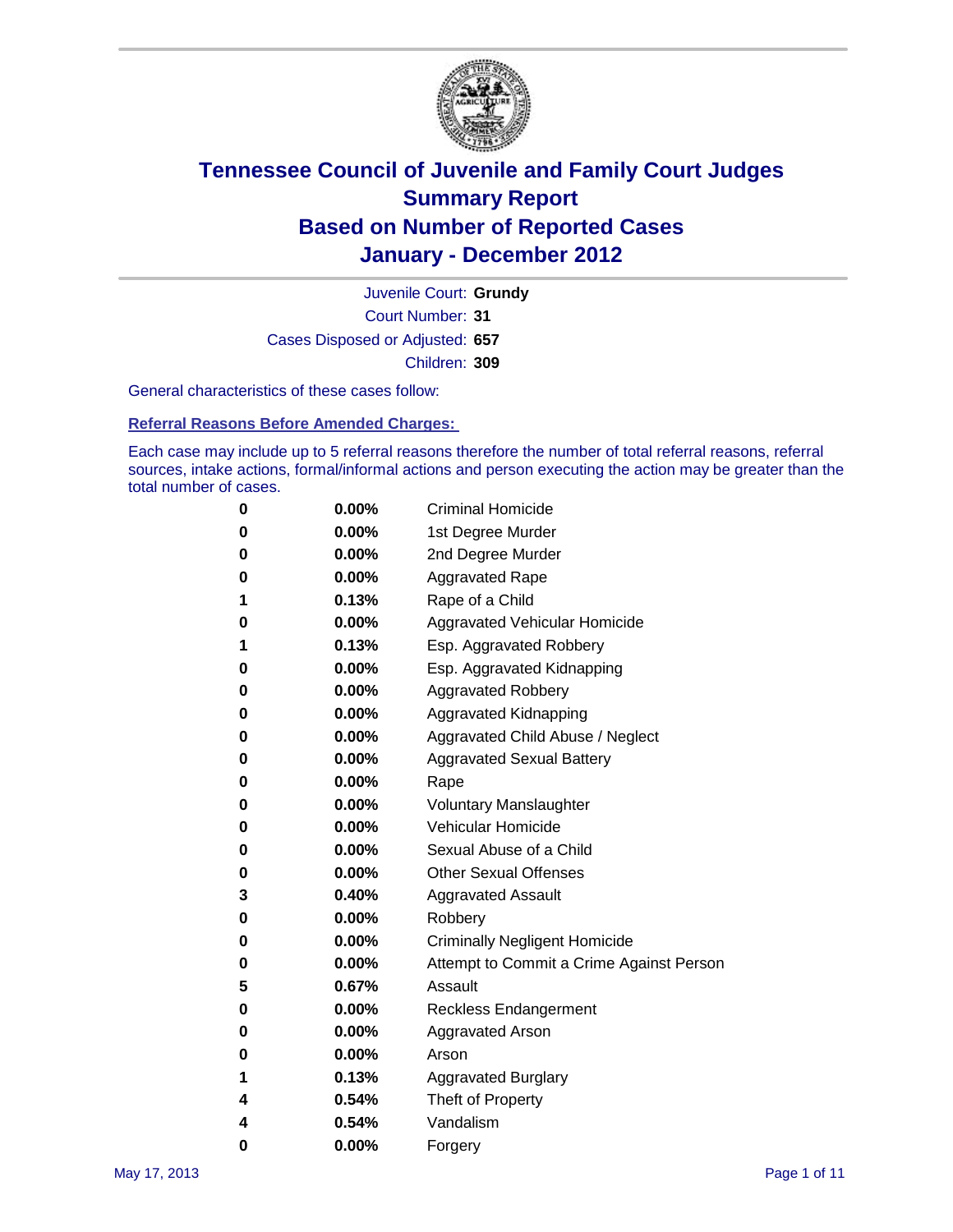

Court Number: **31** Juvenile Court: **Grundy** Cases Disposed or Adjusted: **657** Children: **309**

General characteristics of these cases follow:

**Referral Reasons Before Amended Charges:** 

Each case may include up to 5 referral reasons therefore the number of total referral reasons, referral sources, intake actions, formal/informal actions and person executing the action may be greater than the total number of cases.

| 0 | $0.00\%$ | <b>Criminal Homicide</b>                 |
|---|----------|------------------------------------------|
| 0 | $0.00\%$ | 1st Degree Murder                        |
| 0 | $0.00\%$ | 2nd Degree Murder                        |
| 0 | $0.00\%$ | <b>Aggravated Rape</b>                   |
| 1 | 0.13%    | Rape of a Child                          |
| 0 | $0.00\%$ | Aggravated Vehicular Homicide            |
| 1 | 0.13%    | Esp. Aggravated Robbery                  |
| 0 | $0.00\%$ | Esp. Aggravated Kidnapping               |
| 0 | $0.00\%$ | <b>Aggravated Robbery</b>                |
| 0 | $0.00\%$ | Aggravated Kidnapping                    |
| 0 | 0.00%    | Aggravated Child Abuse / Neglect         |
| 0 | 0.00%    | <b>Aggravated Sexual Battery</b>         |
| 0 | $0.00\%$ | Rape                                     |
| 0 | $0.00\%$ | <b>Voluntary Manslaughter</b>            |
| 0 | $0.00\%$ | Vehicular Homicide                       |
| 0 | $0.00\%$ | Sexual Abuse of a Child                  |
| 0 | $0.00\%$ | <b>Other Sexual Offenses</b>             |
| 3 | 0.40%    | <b>Aggravated Assault</b>                |
| 0 | 0.00%    | Robbery                                  |
| 0 | $0.00\%$ | <b>Criminally Negligent Homicide</b>     |
| 0 | $0.00\%$ | Attempt to Commit a Crime Against Person |
| 5 | 0.67%    | Assault                                  |
| 0 | $0.00\%$ | <b>Reckless Endangerment</b>             |
| 0 | $0.00\%$ | <b>Aggravated Arson</b>                  |
| 0 | $0.00\%$ | Arson                                    |
| 1 | 0.13%    | <b>Aggravated Burglary</b>               |
| 4 | 0.54%    | Theft of Property                        |
| 4 | 0.54%    | Vandalism                                |
| 0 | 0.00%    | Forgery                                  |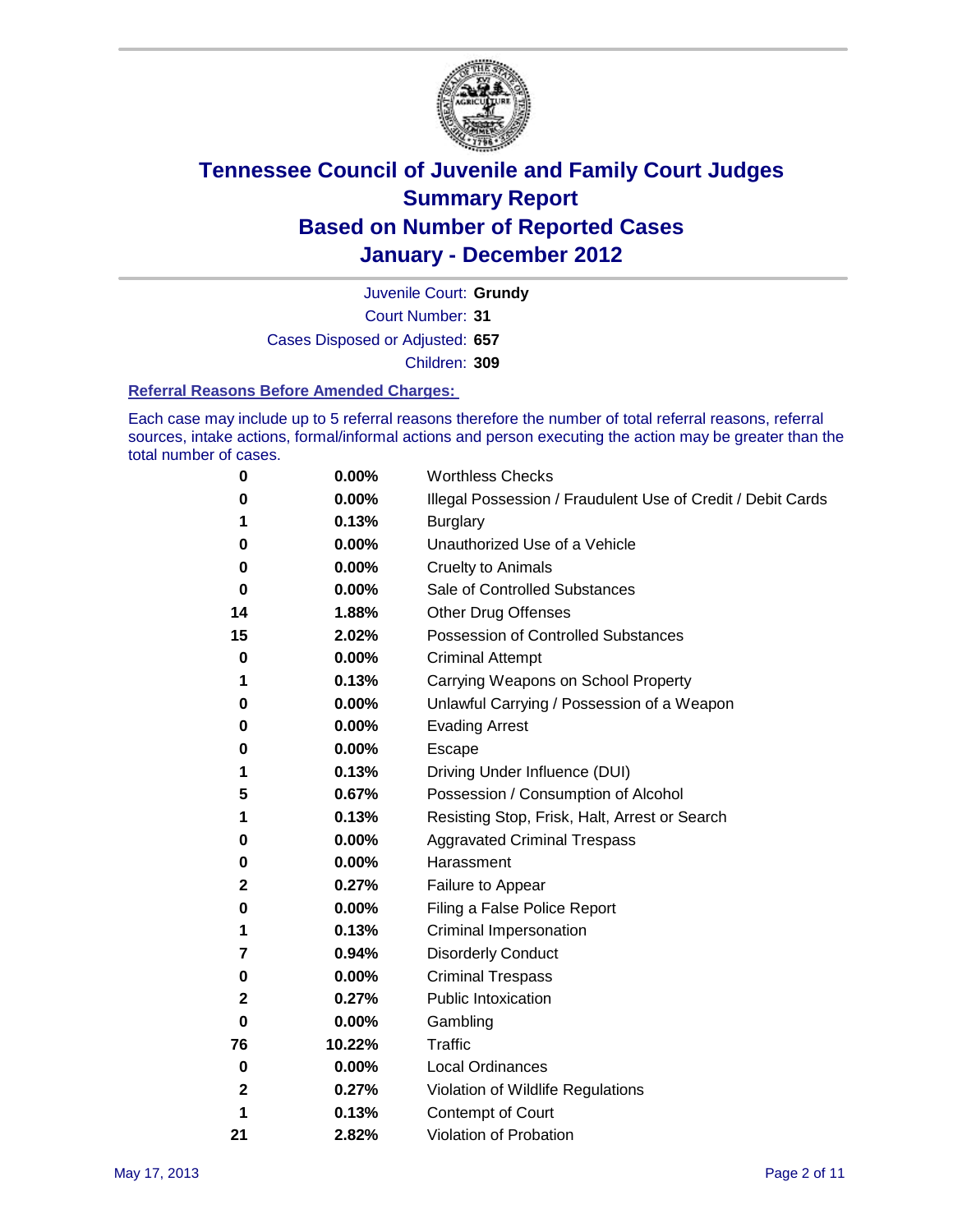

Court Number: **31** Juvenile Court: **Grundy** Cases Disposed or Adjusted: **657** Children: **309**

#### **Referral Reasons Before Amended Charges:**

Each case may include up to 5 referral reasons therefore the number of total referral reasons, referral sources, intake actions, formal/informal actions and person executing the action may be greater than the total number of cases.

| 0            | 0.00%  | <b>Worthless Checks</b>                                     |
|--------------|--------|-------------------------------------------------------------|
| 0            | 0.00%  | Illegal Possession / Fraudulent Use of Credit / Debit Cards |
| 1            | 0.13%  | <b>Burglary</b>                                             |
| 0            | 0.00%  | Unauthorized Use of a Vehicle                               |
| 0            | 0.00%  | <b>Cruelty to Animals</b>                                   |
| 0            | 0.00%  | Sale of Controlled Substances                               |
| 14           | 1.88%  | <b>Other Drug Offenses</b>                                  |
| 15           | 2.02%  | Possession of Controlled Substances                         |
| 0            | 0.00%  | <b>Criminal Attempt</b>                                     |
| 1            | 0.13%  | Carrying Weapons on School Property                         |
| 0            | 0.00%  | Unlawful Carrying / Possession of a Weapon                  |
| 0            | 0.00%  | <b>Evading Arrest</b>                                       |
| 0            | 0.00%  | Escape                                                      |
| 1            | 0.13%  | Driving Under Influence (DUI)                               |
| 5            | 0.67%  | Possession / Consumption of Alcohol                         |
| 1            | 0.13%  | Resisting Stop, Frisk, Halt, Arrest or Search               |
| 0            | 0.00%  | <b>Aggravated Criminal Trespass</b>                         |
| 0            | 0.00%  | Harassment                                                  |
| 2            | 0.27%  | Failure to Appear                                           |
| 0            | 0.00%  | Filing a False Police Report                                |
| 1            | 0.13%  | Criminal Impersonation                                      |
| 7            | 0.94%  | <b>Disorderly Conduct</b>                                   |
| 0            | 0.00%  | <b>Criminal Trespass</b>                                    |
| 2            | 0.27%  | <b>Public Intoxication</b>                                  |
| 0            | 0.00%  | Gambling                                                    |
| 76           | 10.22% | Traffic                                                     |
| 0            | 0.00%  | <b>Local Ordinances</b>                                     |
| $\mathbf{2}$ | 0.27%  | Violation of Wildlife Regulations                           |
| 1            | 0.13%  | Contempt of Court                                           |
| 21           | 2.82%  | Violation of Probation                                      |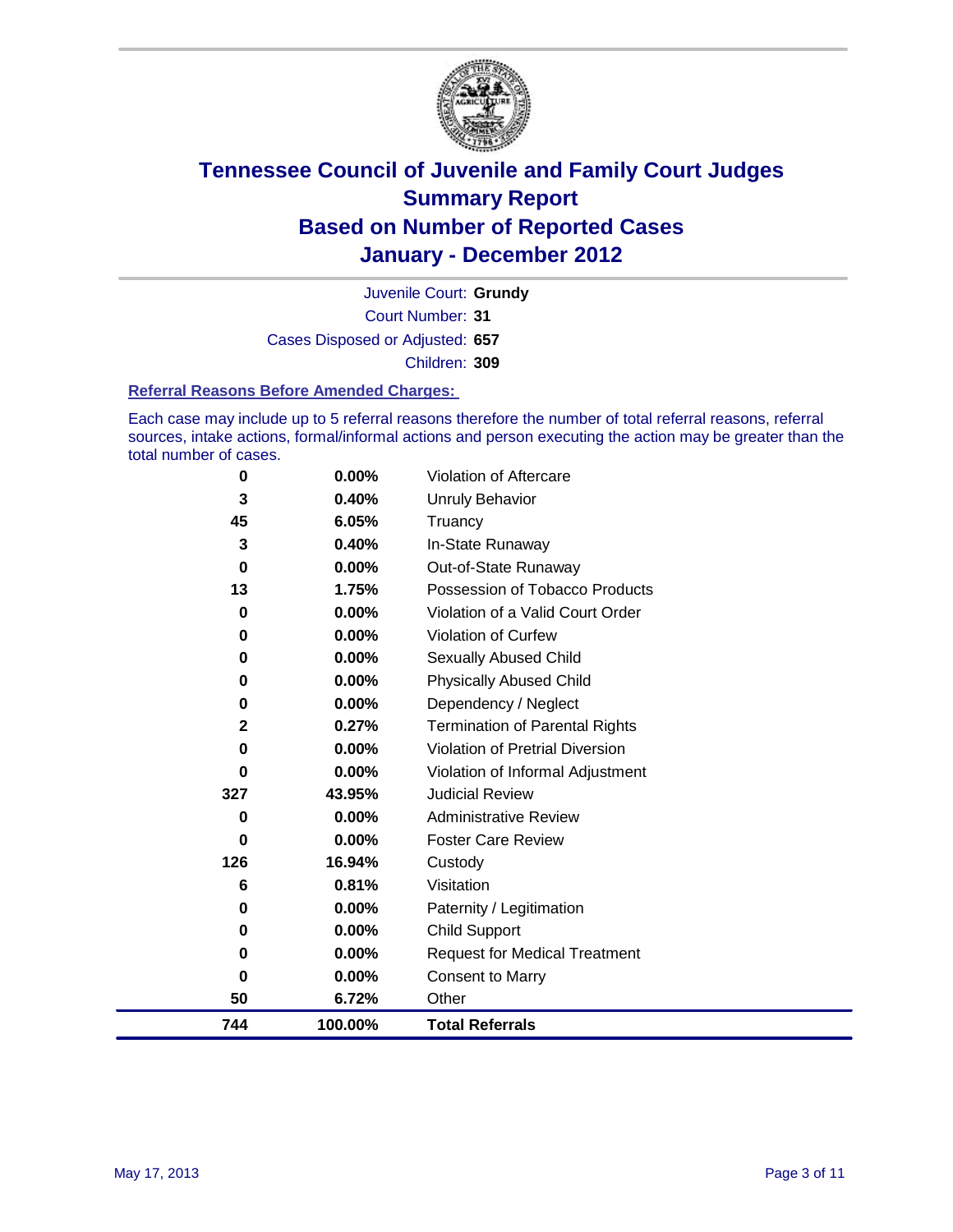

Court Number: **31** Juvenile Court: **Grundy** Cases Disposed or Adjusted: **657** Children: **309**

#### **Referral Reasons Before Amended Charges:**

Each case may include up to 5 referral reasons therefore the number of total referral reasons, referral sources, intake actions, formal/informal actions and person executing the action may be greater than the total number of cases.

| 0            | 0.00%    | Violation of Aftercare                 |
|--------------|----------|----------------------------------------|
| 3            | 0.40%    | <b>Unruly Behavior</b>                 |
| 45           | 6.05%    | Truancy                                |
| 3            | 0.40%    | In-State Runaway                       |
| 0            | 0.00%    | Out-of-State Runaway                   |
| 13           | 1.75%    | Possession of Tobacco Products         |
| 0            | $0.00\%$ | Violation of a Valid Court Order       |
| 0            | 0.00%    | Violation of Curfew                    |
| 0            | $0.00\%$ | Sexually Abused Child                  |
| 0            | 0.00%    | <b>Physically Abused Child</b>         |
| $\bf{0}$     | 0.00%    | Dependency / Neglect                   |
| $\mathbf{2}$ | 0.27%    | <b>Termination of Parental Rights</b>  |
| 0            | 0.00%    | <b>Violation of Pretrial Diversion</b> |
| 0            | 0.00%    | Violation of Informal Adjustment       |
| 327          | 43.95%   | <b>Judicial Review</b>                 |
| 0            | 0.00%    | <b>Administrative Review</b>           |
| 0            | 0.00%    | <b>Foster Care Review</b>              |
| 126          | 16.94%   | Custody                                |
| 6            | 0.81%    | Visitation                             |
| 0            | 0.00%    | Paternity / Legitimation               |
| 0            | 0.00%    | <b>Child Support</b>                   |
| 0            | 0.00%    | <b>Request for Medical Treatment</b>   |
| 0            | 0.00%    | <b>Consent to Marry</b>                |
| 50           | 6.72%    | Other                                  |
| 744          | 100.00%  | <b>Total Referrals</b>                 |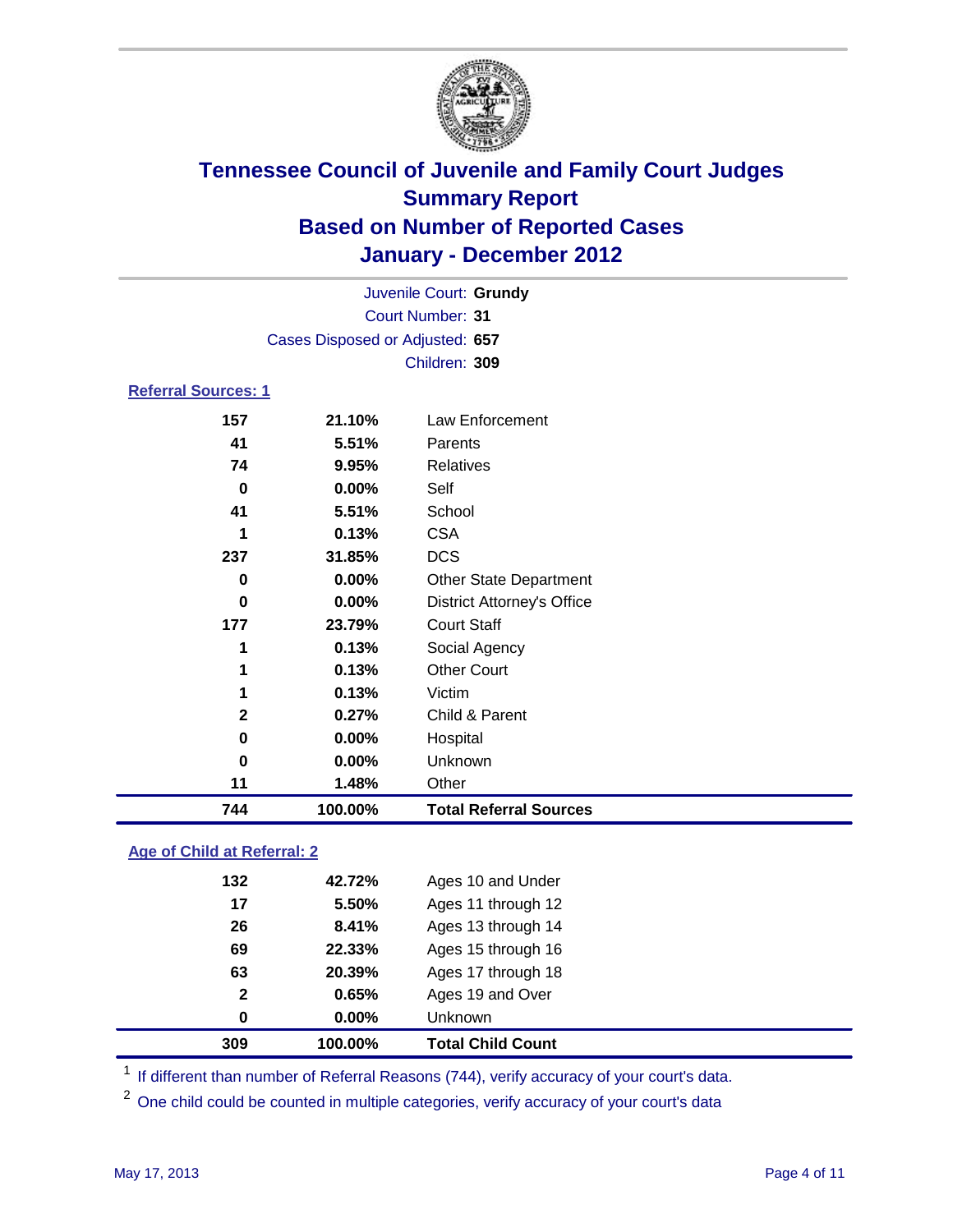

| 744                        | 100.00%                                    | <b>Total Referral Sources</b>     |  |
|----------------------------|--------------------------------------------|-----------------------------------|--|
| 11                         | 1.48%                                      | Other                             |  |
| 0                          | 0.00%                                      | Unknown                           |  |
| 0                          | 0.00%                                      | Hospital                          |  |
| $\mathbf{2}$               | 0.27%                                      | Child & Parent                    |  |
| 1                          | 0.13%                                      | Victim                            |  |
| 1                          | 0.13%                                      | <b>Other Court</b>                |  |
| 1                          | 0.13%                                      | Social Agency                     |  |
| 177                        | 23.79%                                     | <b>Court Staff</b>                |  |
| 0                          | 0.00%                                      | <b>District Attorney's Office</b> |  |
| 0                          | 0.00%                                      | <b>Other State Department</b>     |  |
| 237                        | 31.85%                                     | <b>DCS</b>                        |  |
| 1                          | 0.13%                                      | <b>CSA</b>                        |  |
| 41                         | 5.51%                                      | School                            |  |
| 0                          | 0.00%                                      | Self                              |  |
| 74                         | 9.95%                                      | <b>Relatives</b>                  |  |
| 41                         | 5.51%                                      | Parents                           |  |
| 157                        | 21.10%                                     | Law Enforcement                   |  |
| <b>Referral Sources: 1</b> |                                            |                                   |  |
|                            |                                            | Children: 309                     |  |
|                            | Cases Disposed or Adjusted: 657            |                                   |  |
|                            |                                            |                                   |  |
|                            | Juvenile Court: Grundy<br>Court Number: 31 |                                   |  |
|                            |                                            |                                   |  |

### **Age of Child at Referral: 2**

| 0            | $0.00\%$ | <b>Unknown</b>     |
|--------------|----------|--------------------|
| $\mathbf{2}$ | 0.65%    | Ages 19 and Over   |
| 63           | 20.39%   | Ages 17 through 18 |
| 69           | 22.33%   | Ages 15 through 16 |
| 26           | 8.41%    | Ages 13 through 14 |
| 17           | 5.50%    | Ages 11 through 12 |
| 132          | 42.72%   | Ages 10 and Under  |
|              |          |                    |

<sup>1</sup> If different than number of Referral Reasons (744), verify accuracy of your court's data.

<sup>2</sup> One child could be counted in multiple categories, verify accuracy of your court's data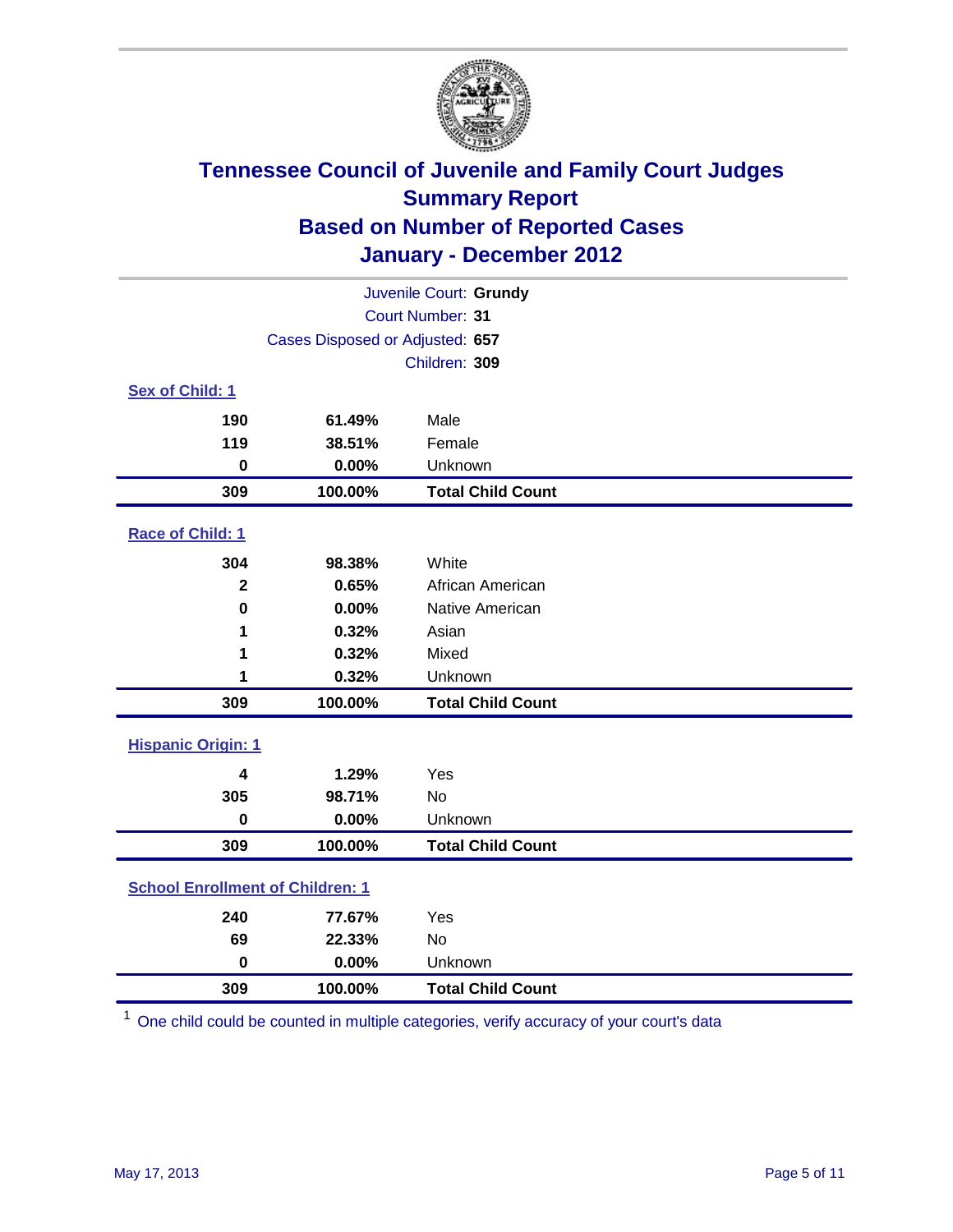

| Juvenile Court: Grundy                     |                                 |                          |  |  |
|--------------------------------------------|---------------------------------|--------------------------|--|--|
| Court Number: 31                           |                                 |                          |  |  |
|                                            | Cases Disposed or Adjusted: 657 |                          |  |  |
|                                            |                                 | Children: 309            |  |  |
| Sex of Child: 1                            |                                 |                          |  |  |
| 190                                        | 61.49%                          | Male                     |  |  |
| 119                                        | 38.51%                          | Female                   |  |  |
| $\mathbf 0$                                | 0.00%                           | Unknown                  |  |  |
| 309                                        | 100.00%                         | <b>Total Child Count</b> |  |  |
| Race of Child: 1                           |                                 |                          |  |  |
| 304                                        | 98.38%                          | White                    |  |  |
| $\mathbf{2}$                               | 0.65%                           | African American         |  |  |
| $\mathbf 0$                                | 0.00%                           | Native American          |  |  |
| 1                                          | 0.32%                           | Asian                    |  |  |
| 1                                          | 0.32%                           | Mixed                    |  |  |
| 1                                          | 0.32%                           | Unknown                  |  |  |
| 309                                        | 100.00%                         | <b>Total Child Count</b> |  |  |
| <b>Hispanic Origin: 1</b>                  |                                 |                          |  |  |
| 4                                          | 1.29%                           | Yes                      |  |  |
| 305                                        | 98.71%                          | <b>No</b>                |  |  |
| $\mathbf 0$                                | 0.00%                           | Unknown                  |  |  |
| 309                                        | 100.00%                         | <b>Total Child Count</b> |  |  |
| <b>School Enrollment of Children: 1</b>    |                                 |                          |  |  |
| 240                                        | 77.67%                          | Yes                      |  |  |
| 69                                         | 22.33%                          | No                       |  |  |
| $\mathbf 0$                                | 0.00%                           | Unknown                  |  |  |
| 309<br>100.00%<br><b>Total Child Count</b> |                                 |                          |  |  |

One child could be counted in multiple categories, verify accuracy of your court's data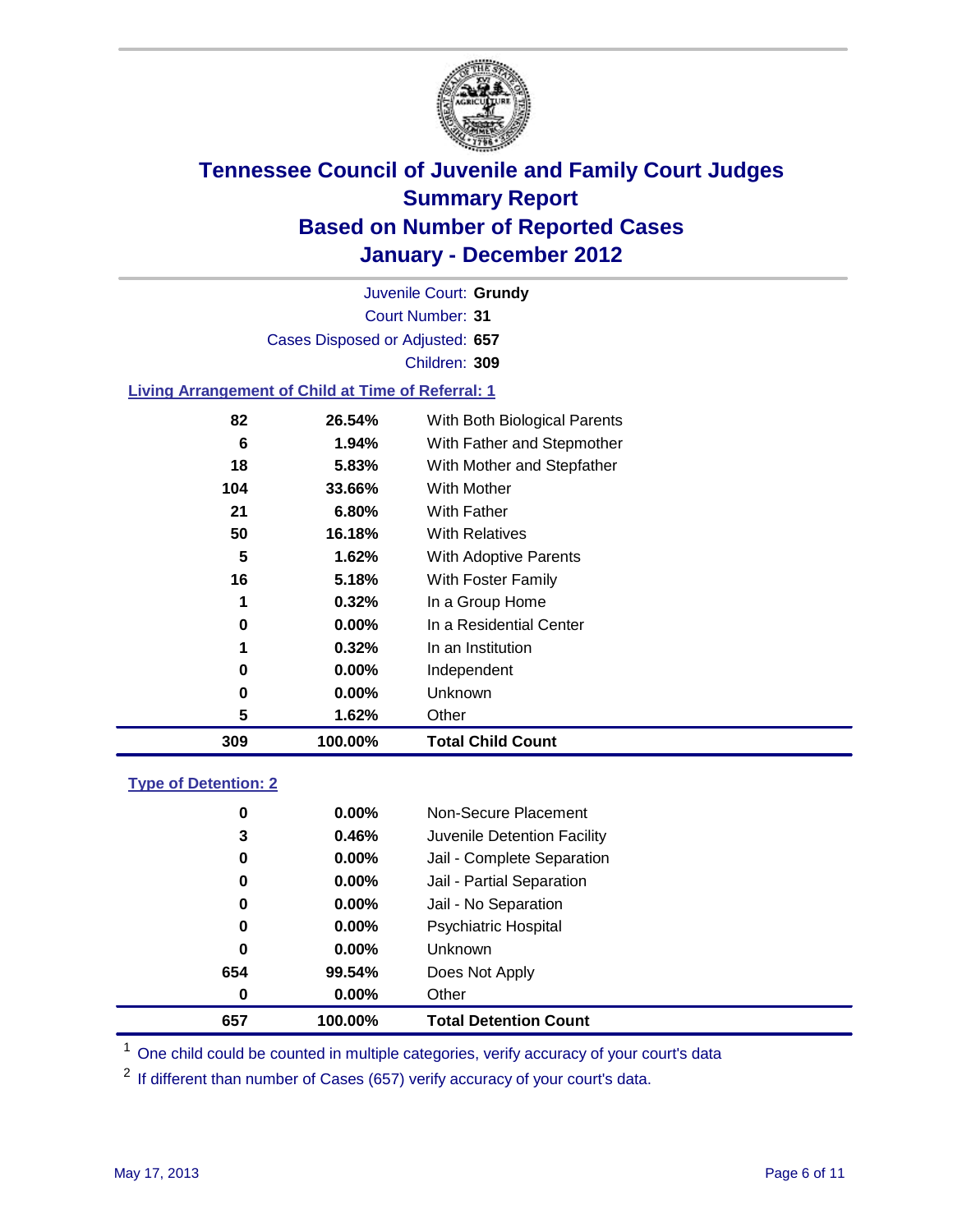

Court Number: **31** Juvenile Court: **Grundy** Cases Disposed or Adjusted: **657** Children: **309**

### **Living Arrangement of Child at Time of Referral: 1**

| 309 | 100.00%  | <b>Total Child Count</b>     |
|-----|----------|------------------------------|
| 5   | 1.62%    | Other                        |
| 0   | 0.00%    | Unknown                      |
| 0   | $0.00\%$ | Independent                  |
| 1   | 0.32%    | In an Institution            |
| 0   | $0.00\%$ | In a Residential Center      |
| 1   | 0.32%    | In a Group Home              |
| 16  | 5.18%    | With Foster Family           |
| 5   | 1.62%    | With Adoptive Parents        |
| 50  | 16.18%   | <b>With Relatives</b>        |
| 21  | 6.80%    | With Father                  |
| 104 | 33.66%   | With Mother                  |
| 18  | 5.83%    | With Mother and Stepfather   |
| 6   | 1.94%    | With Father and Stepmother   |
| 82  | 26.54%   | With Both Biological Parents |
|     |          |                              |

### **Type of Detention: 2**

| 657 | 100.00%  | <b>Total Detention Count</b> |
|-----|----------|------------------------------|
| 0   | $0.00\%$ | Other                        |
| 654 | 99.54%   | Does Not Apply               |
| 0   | $0.00\%$ | Unknown                      |
| 0   | $0.00\%$ | <b>Psychiatric Hospital</b>  |
| 0   | 0.00%    | Jail - No Separation         |
| 0   | $0.00\%$ | Jail - Partial Separation    |
| 0   | $0.00\%$ | Jail - Complete Separation   |
| 3   | 0.46%    | Juvenile Detention Facility  |
| 0   | $0.00\%$ | Non-Secure Placement         |
|     |          |                              |

<sup>1</sup> One child could be counted in multiple categories, verify accuracy of your court's data

<sup>2</sup> If different than number of Cases (657) verify accuracy of your court's data.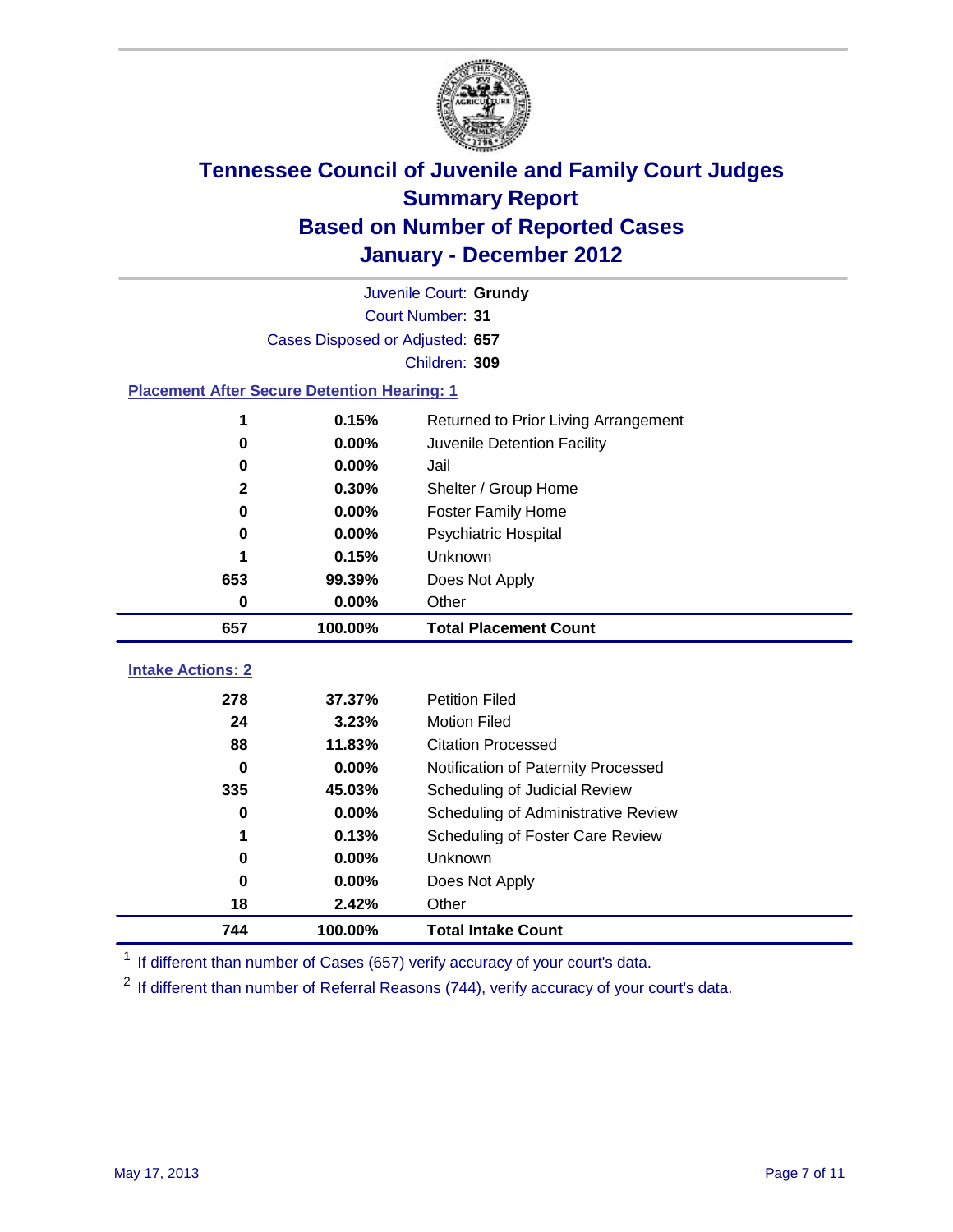

|                                                    | Juvenile Court: Grundy          |                                      |  |  |  |
|----------------------------------------------------|---------------------------------|--------------------------------------|--|--|--|
|                                                    | Court Number: 31                |                                      |  |  |  |
|                                                    | Cases Disposed or Adjusted: 657 |                                      |  |  |  |
|                                                    |                                 | Children: 309                        |  |  |  |
| <b>Placement After Secure Detention Hearing: 1</b> |                                 |                                      |  |  |  |
| 1                                                  | 0.15%                           | Returned to Prior Living Arrangement |  |  |  |
| 0                                                  | 0.00%                           | Juvenile Detention Facility          |  |  |  |
| 0                                                  | 0.00%                           | Jail                                 |  |  |  |
| $\mathbf{2}$                                       | 0.30%                           | Shelter / Group Home                 |  |  |  |
| 0                                                  | 0.00%                           | Foster Family Home                   |  |  |  |
| 0                                                  | 0.00%                           | <b>Psychiatric Hospital</b>          |  |  |  |
|                                                    | 0.15%                           | <b>Unknown</b>                       |  |  |  |
| 653                                                | 99.39%                          | Does Not Apply                       |  |  |  |
| $\mathbf 0$                                        | 0.00%                           | Other                                |  |  |  |
| 657                                                | 100.00%                         | <b>Total Placement Count</b>         |  |  |  |
|                                                    |                                 |                                      |  |  |  |
| <b>Intake Actions: 2</b>                           |                                 |                                      |  |  |  |
| 278                                                | 37.37%                          | <b>Petition Filed</b>                |  |  |  |
| 24                                                 | 3.23%                           | <b>Motion Filed</b>                  |  |  |  |
| 88                                                 | 11.83%                          | <b>Citation Processed</b>            |  |  |  |
| $\bf{0}$                                           | 0.00%                           | Notification of Paternity Processed  |  |  |  |
| 335                                                | 45.03%                          | Scheduling of Judicial Review        |  |  |  |
| $\bf{0}$                                           | 0.00%                           | Scheduling of Administrative Review  |  |  |  |
| 1                                                  | 0.13%                           | Scheduling of Foster Care Review     |  |  |  |
| $\bf{0}$                                           | 0.00%                           | Unknown                              |  |  |  |
| 0                                                  | 0.00%                           | Does Not Apply                       |  |  |  |
| 18                                                 | 2.42%                           | Other                                |  |  |  |
| 744                                                | 100.00%                         | <b>Total Intake Count</b>            |  |  |  |

<sup>1</sup> If different than number of Cases (657) verify accuracy of your court's data.

<sup>2</sup> If different than number of Referral Reasons (744), verify accuracy of your court's data.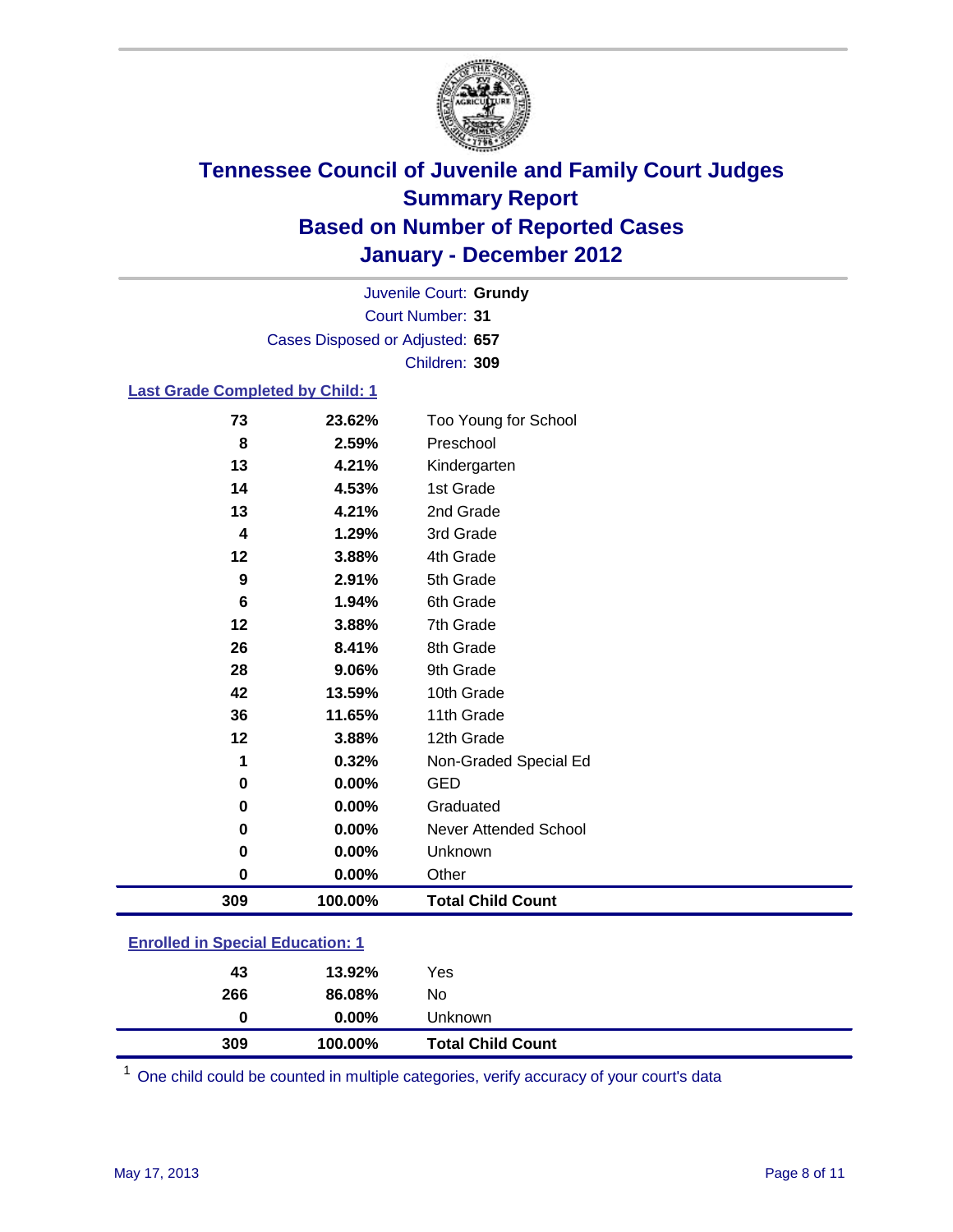

Court Number: **31** Juvenile Court: **Grundy** Cases Disposed or Adjusted: **657** Children: **309**

### **Last Grade Completed by Child: 1**

| 309      | 100.00%         | <b>Total Child Count</b>          |  |
|----------|-----------------|-----------------------------------|--|
| 0        | 0.00%           | Other                             |  |
| 0        | $0.00\%$        | Unknown                           |  |
| 0        | $0.00\%$        | <b>Never Attended School</b>      |  |
| 0        | 0.00%           | Graduated                         |  |
| $\bf{0}$ | 0.00%           | <b>GED</b>                        |  |
| 1        | 0.32%           | Non-Graded Special Ed             |  |
| 12       | 3.88%           | 12th Grade                        |  |
| 36       | 11.65%          | 11th Grade                        |  |
| 42       | 13.59%          | 10th Grade                        |  |
| 28       | 9.06%           | 9th Grade                         |  |
| 26       | 8.41%           | 8th Grade                         |  |
| 12       | 3.88%           | 7th Grade                         |  |
| 6        | 1.94%           | 6th Grade                         |  |
| 9        | 2.91%           | 5th Grade                         |  |
| 12       | 3.88%           | 4th Grade                         |  |
| 4        | 1.29%           | 3rd Grade                         |  |
| 13       | 4.21%           | 2nd Grade                         |  |
| 14       | 4.53%           | 1st Grade                         |  |
| 13       | 4.21%           | Kindergarten                      |  |
| 73<br>8  | 23.62%<br>2.59% | Too Young for School<br>Preschool |  |

### **Enrolled in Special Education: 1**

| 309 | 100.00%  | <b>Total Child Count</b> |
|-----|----------|--------------------------|
| 0   | $0.00\%$ | Unknown                  |
| 266 | 86.08%   | No                       |
| 43  | 13.92%   | Yes                      |
|     |          |                          |

One child could be counted in multiple categories, verify accuracy of your court's data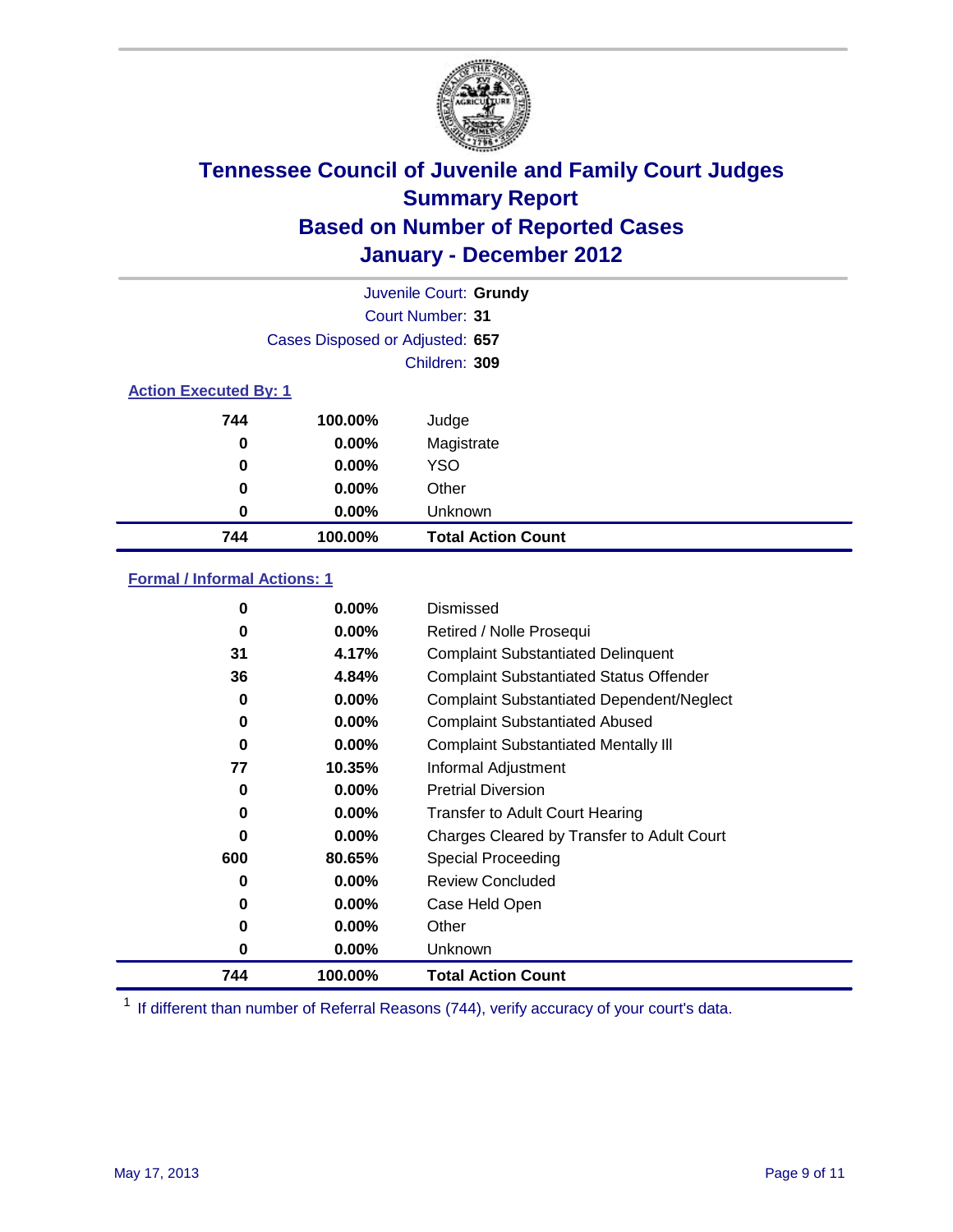

|                                 | Juvenile Court: Grundy |                           |  |  |  |
|---------------------------------|------------------------|---------------------------|--|--|--|
|                                 |                        | <b>Court Number: 31</b>   |  |  |  |
| Cases Disposed or Adjusted: 657 |                        |                           |  |  |  |
|                                 |                        | Children: 309             |  |  |  |
| <b>Action Executed By: 1</b>    |                        |                           |  |  |  |
| 744                             | 100.00%                | Judge                     |  |  |  |
| 0                               | $0.00\%$               | Magistrate                |  |  |  |
| 0                               | $0.00\%$               | <b>YSO</b>                |  |  |  |
| 0                               | $0.00\%$               | Other                     |  |  |  |
| 0                               | 0.00%                  | Unknown                   |  |  |  |
| 744                             | 100.00%                | <b>Total Action Count</b> |  |  |  |

### **Formal / Informal Actions: 1**

| 744      | 100.00%  | <b>Total Action Count</b>                        |
|----------|----------|--------------------------------------------------|
| 0        | $0.00\%$ | Unknown                                          |
| 0        | $0.00\%$ | Other                                            |
| 0        | $0.00\%$ | Case Held Open                                   |
| 0        | $0.00\%$ | <b>Review Concluded</b>                          |
| 600      | 80.65%   | Special Proceeding                               |
| 0        | $0.00\%$ | Charges Cleared by Transfer to Adult Court       |
| 0        | $0.00\%$ | <b>Transfer to Adult Court Hearing</b>           |
| 0        | $0.00\%$ | <b>Pretrial Diversion</b>                        |
| 77       | 10.35%   | Informal Adjustment                              |
| $\bf{0}$ | $0.00\%$ | <b>Complaint Substantiated Mentally III</b>      |
| $\bf{0}$ | 0.00%    | <b>Complaint Substantiated Abused</b>            |
| 0        | $0.00\%$ | <b>Complaint Substantiated Dependent/Neglect</b> |
| 36       | 4.84%    | <b>Complaint Substantiated Status Offender</b>   |
| 31       | 4.17%    | <b>Complaint Substantiated Delinquent</b>        |
| 0        | $0.00\%$ | Retired / Nolle Prosequi                         |
| 0        | $0.00\%$ | Dismissed                                        |
|          |          |                                                  |

<sup>1</sup> If different than number of Referral Reasons (744), verify accuracy of your court's data.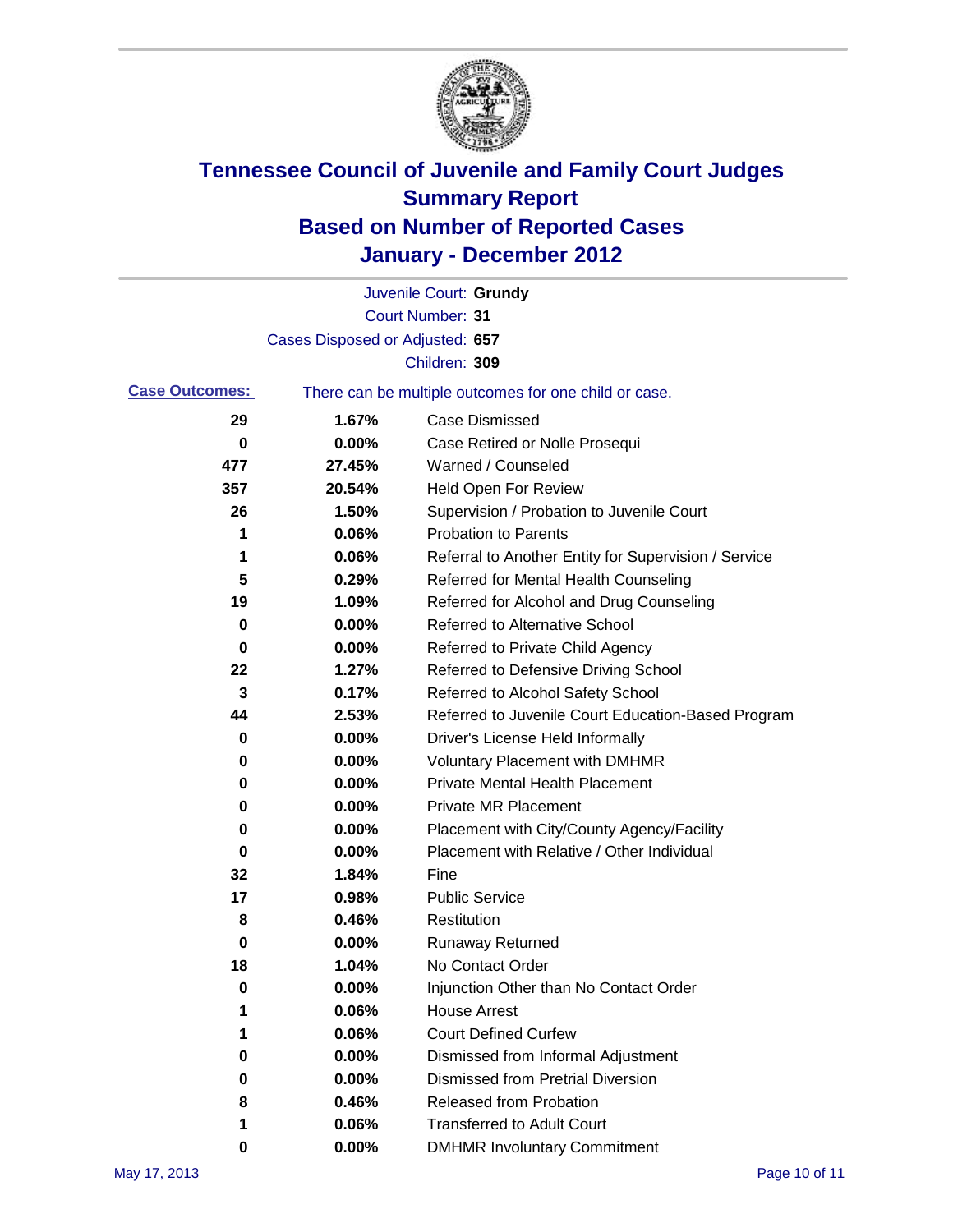

|                       |                                 | Juvenile Court: Grundy                                |
|-----------------------|---------------------------------|-------------------------------------------------------|
|                       |                                 | Court Number: 31                                      |
|                       | Cases Disposed or Adjusted: 657 |                                                       |
|                       |                                 | Children: 309                                         |
| <b>Case Outcomes:</b> |                                 | There can be multiple outcomes for one child or case. |
| 29                    | 1.67%                           | <b>Case Dismissed</b>                                 |
| 0                     | 0.00%                           | Case Retired or Nolle Prosequi                        |
| 477                   | 27.45%                          | Warned / Counseled                                    |
| 357                   | 20.54%                          | <b>Held Open For Review</b>                           |
| 26                    | 1.50%                           | Supervision / Probation to Juvenile Court             |
| 1                     | 0.06%                           | <b>Probation to Parents</b>                           |
| 1                     | 0.06%                           | Referral to Another Entity for Supervision / Service  |
| 5                     | 0.29%                           | Referred for Mental Health Counseling                 |
| 19                    | 1.09%                           | Referred for Alcohol and Drug Counseling              |
| 0                     | 0.00%                           | <b>Referred to Alternative School</b>                 |
| 0                     | 0.00%                           | Referred to Private Child Agency                      |
| 22                    | 1.27%                           | Referred to Defensive Driving School                  |
| 3                     | 0.17%                           | Referred to Alcohol Safety School                     |
| 44                    | 2.53%                           | Referred to Juvenile Court Education-Based Program    |
| 0                     | 0.00%                           | Driver's License Held Informally                      |
| 0                     | 0.00%                           | <b>Voluntary Placement with DMHMR</b>                 |
| 0                     | 0.00%                           | <b>Private Mental Health Placement</b>                |
| 0                     | 0.00%                           | <b>Private MR Placement</b>                           |
| 0                     | 0.00%                           | Placement with City/County Agency/Facility            |
| 0                     | 0.00%                           | Placement with Relative / Other Individual            |
| 32                    | 1.84%                           | Fine                                                  |
| 17                    | 0.98%                           | <b>Public Service</b>                                 |
| 8                     | 0.46%                           | Restitution                                           |
| 0                     | 0.00%                           | Runaway Returned                                      |
| 18                    | 1.04%                           | No Contact Order                                      |
| 0                     | 0.00%                           | Injunction Other than No Contact Order                |
|                       | 0.06%                           | <b>House Arrest</b>                                   |
| 1                     | 0.06%                           | <b>Court Defined Curfew</b>                           |
| 0                     | 0.00%                           | Dismissed from Informal Adjustment                    |
| 0                     | 0.00%                           | <b>Dismissed from Pretrial Diversion</b>              |
| 8                     | 0.46%                           | Released from Probation                               |
| 1                     | 0.06%                           | <b>Transferred to Adult Court</b>                     |
| 0                     | $0.00\%$                        | <b>DMHMR Involuntary Commitment</b>                   |